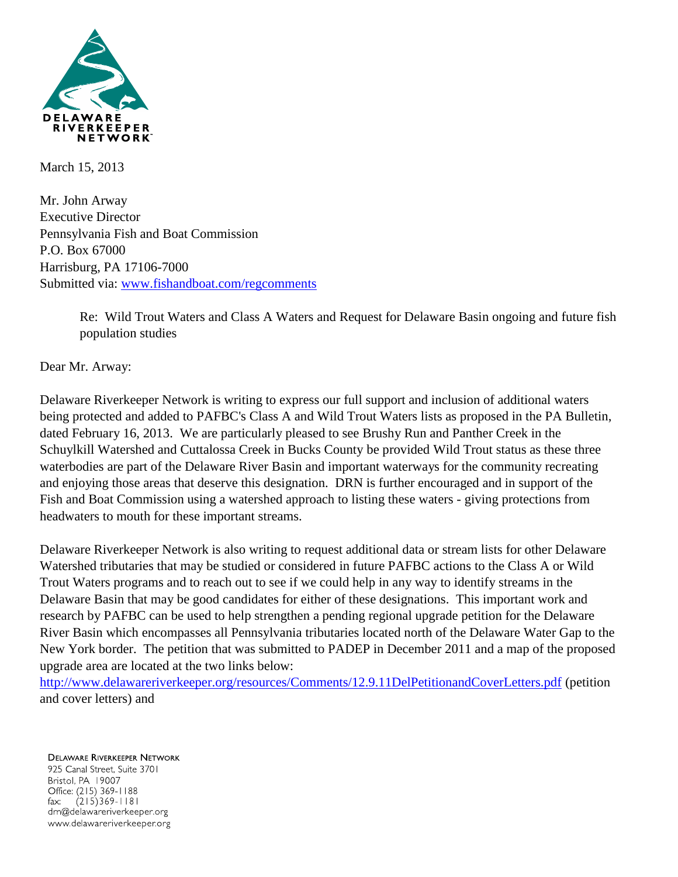

March 15, 2013

Mr. John Arway Executive Director Pennsylvania Fish and Boat Commission P.O. Box 67000 Harrisburg, PA 17106-7000 Submitted via: [www.fishandboat.com/regcomments](http://www.fishandboat.com/regcomments)

> Re: Wild Trout Waters and Class A Waters and Request for Delaware Basin ongoing and future fish population studies

Dear Mr. Arway:

Delaware Riverkeeper Network is writing to express our full support and inclusion of additional waters being protected and added to PAFBC's Class A and Wild Trout Waters lists as proposed in the PA Bulletin, dated February 16, 2013. We are particularly pleased to see Brushy Run and Panther Creek in the Schuylkill Watershed and Cuttalossa Creek in Bucks County be provided Wild Trout status as these three waterbodies are part of the Delaware River Basin and important waterways for the community recreating and enjoying those areas that deserve this designation. DRN is further encouraged and in support of the Fish and Boat Commission using a watershed approach to listing these waters - giving protections from headwaters to mouth for these important streams.

Delaware Riverkeeper Network is also writing to request additional data or stream lists for other Delaware Watershed tributaries that may be studied or considered in future PAFBC actions to the Class A or Wild Trout Waters programs and to reach out to see if we could help in any way to identify streams in the Delaware Basin that may be good candidates for either of these designations. This important work and research by PAFBC can be used to help strengthen a pending regional upgrade petition for the Delaware River Basin which encompasses all Pennsylvania tributaries located north of the Delaware Water Gap to the New York border. The petition that was submitted to PADEP in December 2011 and a map of the proposed upgrade area are located at the two links below:

<http://www.delawareriverkeeper.org/resources/Comments/12.9.11DelPetitionandCoverLetters.pdf> (petition and cover letters) and

**DELAWARE RIVERKEEPER NETWORK** 925 Canal Street, Suite 3701 Bristol, PA 19007 Office: (215) 369-1188  $(215)369 - 1181$  $\mathsf{fax:}$ drn@delawareriverkeeper.org www.delawareriverkeeper.org